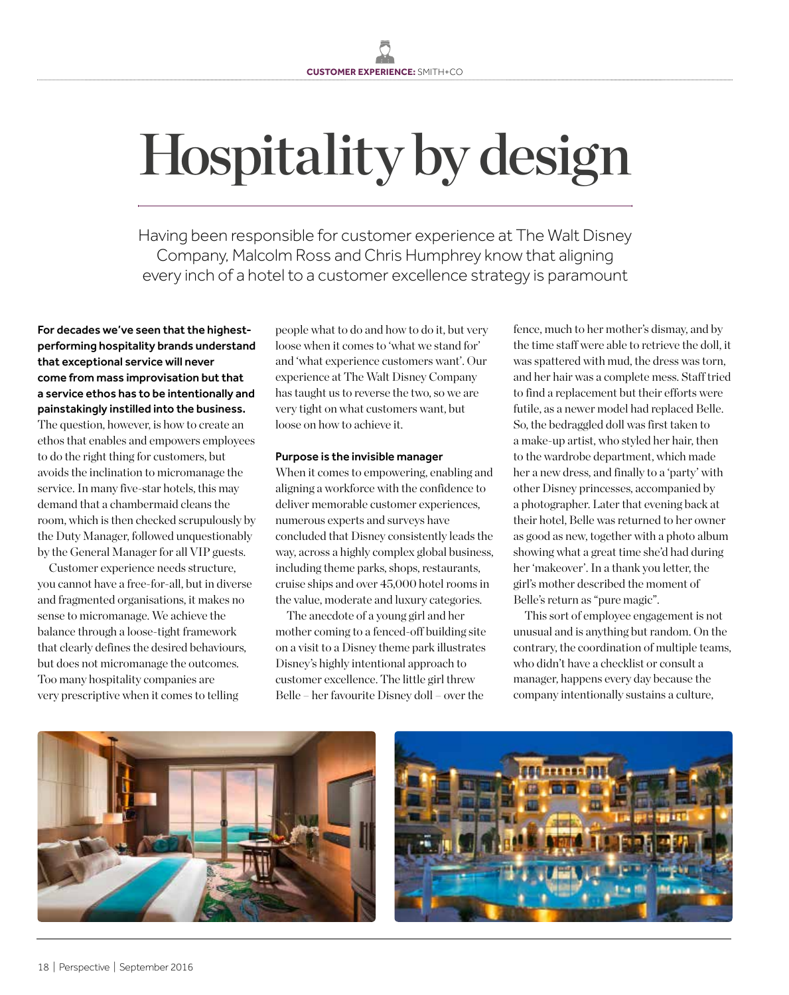# Hospitality by design

Having been responsible for customer experience at The Walt Disney Company, Malcolm Ross and Chris Humphrey know that aligning every inch of a hotel to a customer excellence strategy is paramount

For decades we've seen that the highestperforming hospitality brands understand that exceptional service will never come from mass improvisation but that a service ethos has to be intentionally and painstakingly instilled into the business.

The question, however, is how to create an ethos that enables and empowers employees to do the right thing for customers, but avoids the inclination to micromanage the service. In many five-star hotels, this may demand that a chambermaid cleans the room, which is then checked scrupulously by the Duty Manager, followed unquestionably by the General Manager for all VIP guests.

Customer experience needs structure, you cannot have a free-for-all, but in diverse and fragmented organisations, it makes no sense to micromanage. We achieve the balance through a loose-tight framework that clearly defines the desired behaviours, but does not micromanage the outcomes. Too many hospitality companies are very prescriptive when it comes to telling

people what to do and how to do it, but very loose when it comes to 'what we stand for' and 'what experience customers want'. Our experience at The Walt Disney Company has taught us to reverse the two, so we are very tight on what customers want, but loose on how to achieve it.

# Purpose is the invisible manager

When it comes to empowering, enabling and aligning a workforce with the confidence to deliver memorable customer experiences, numerous experts and surveys have concluded that Disney consistently leads the way, across a highly complex global business, including theme parks, shops, restaurants, cruise ships and over 45,000 hotel rooms in the value, moderate and luxury categories.

The anecdote of a young girl and her mother coming to a fenced-off building site on a visit to a Disney theme park illustrates Disney's highly intentional approach to customer excellence. The little girl threw Belle – her favourite Disney doll – over the

fence, much to her mother's dismay, and by the time staff were able to retrieve the doll, it was spattered with mud, the dress was torn, and her hair was a complete mess. Staff tried to find a replacement but their efforts were futile, as a newer model had replaced Belle. So, the bedraggled doll was first taken to a make-up artist, who styled her hair, then to the wardrobe department, which made her a new dress, and finally to a 'party' with other Disney princesses, accompanied by a photographer. Later that evening back at their hotel, Belle was returned to her owner as good as new, together with a photo album showing what a great time she'd had during her 'makeover'. In a thank you letter, the girl's mother described the moment of Belle's return as "pure magic".

This sort of employee engagement is not unusual and is anything but random. On the contrary, the coordination of multiple teams, who didn't have a checklist or consult a manager, happens every day because the company intentionally sustains a culture,